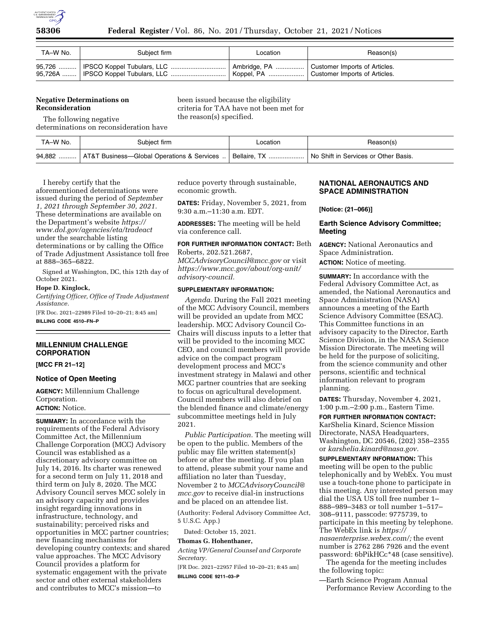

| TA–W No. | Subiect firm | Location | Reason(s) |
|----------|--------------|----------|-----------|
|          |              |          |           |

# **Negative Determinations on Reconsideration**

been issued because the eligibility criteria for TAA have not been met for the reason(s) specified.

The following negative determinations on reconsideration have

| TA–W No. | Subject firm                                                         | ∟ocation | Reason(s)                            |
|----------|----------------------------------------------------------------------|----------|--------------------------------------|
|          | 94,882    AT&T Business—Global Operations & Services    Bellaire, TX |          | No Shift in Services or Other Basis. |

I hereby certify that the aforementioned determinations were issued during the period of *September 1, 2021 through September 30, 2021.*  These determinations are available on the Department's website *[https://](https://www.dol.gov/agencies/eta/tradeact) [www.dol.gov/agencies/eta/tradeact](https://www.dol.gov/agencies/eta/tradeact)*  under the searchable listing determinations or by calling the Office of Trade Adjustment Assistance toll free at 888–365–6822.

Signed at Washington, DC, this 12th day of October 2021.

# **Hope D. Kinglock,**

*Certifying Officer, Office of Trade Adjustment Assistance.* 

[FR Doc. 2021–22989 Filed 10–20–21; 8:45 am] **BILLING CODE 4510–FN–P** 

# **MILLENNIUM CHALLENGE CORPORATION**

**[MCC FR 21–12]** 

# **Notice of Open Meeting**

**AGENCY:** Millennium Challenge Corporation. **ACTION:** Notice.

**SUMMARY:** In accordance with the requirements of the Federal Advisory Committee Act, the Millennium Challenge Corporation (MCC) Advisory Council was established as a discretionary advisory committee on July 14, 2016. Its charter was renewed for a second term on July 11, 2018 and third term on July 8, 2020. The MCC Advisory Council serves MCC solely in an advisory capacity and provides insight regarding innovations in infrastructure, technology, and sustainability; perceived risks and opportunities in MCC partner countries; new financing mechanisms for developing country contexts; and shared value approaches. The MCC Advisory Council provides a platform for systematic engagement with the private sector and other external stakeholders and contributes to MCC's mission—to

reduce poverty through sustainable, economic growth.

**DATES:** Friday, November 5, 2021, from 9:30 a.m.–11:30 a.m. EDT.

**ADDRESSES:** The meeting will be held via conference call.

## **FOR FURTHER INFORMATION CONTACT:** Beth Roberts, 202.521.2687,

*[MCCAdvisoryCouncil@mcc.gov](mailto:MCCAdvisoryCouncil@mcc.gov)* or visit *[https://www.mcc.gov/about/org-unit/](https://www.mcc.gov/about/org-unit/advisory-council) [advisory-council.](https://www.mcc.gov/about/org-unit/advisory-council)* 

# **SUPPLEMENTARY INFORMATION:**

*Agenda.* During the Fall 2021 meeting of the MCC Advisory Council, members will be provided an update from MCC leadership. MCC Advisory Council Co-Chairs will discuss inputs to a letter that will be provided to the incoming MCC CEO, and council members will provide advice on the compact program development process and MCC's investment strategy in Malawi and other MCC partner countries that are seeking to focus on agricultural development. Council members will also debrief on the blended finance and climate/energy subcommittee meetings held in July 2021.

*Public Participation.* The meeting will be open to the public. Members of the public may file written statement(s) before or after the meeting. If you plan to attend, please submit your name and affiliation no later than Tuesday, November 2 to *[MCCAdvisoryCouncil@](mailto:MCCAdvisoryCouncil@mcc.gov) [mcc.gov](mailto:MCCAdvisoryCouncil@mcc.gov)* to receive dial-in instructions and be placed on an attendee list.

(Authority: Federal Advisory Committee Act, 5 U.S.C. App.)

Dated: October 15, 2021.

# **Thomas G. Hohenthaner,**

*Acting VP/General Counsel and Corporate Secretary.* 

[FR Doc. 2021–22957 Filed 10–20–21; 8:45 am] **BILLING CODE 9211–03–P** 

# **NATIONAL AERONAUTICS AND SPACE ADMINISTRATION**

**[Notice: (21–066)]** 

# **Earth Science Advisory Committee; Meeting**

**AGENCY:** National Aeronautics and Space Administration.

**ACTION:** Notice of meeting.

**SUMMARY:** In accordance with the Federal Advisory Committee Act, as amended, the National Aeronautics and Space Administration (NASA) announces a meeting of the Earth Science Advisory Committee (ESAC). This Committee functions in an advisory capacity to the Director, Earth Science Division, in the NASA Science Mission Directorate. The meeting will be held for the purpose of soliciting, from the science community and other persons, scientific and technical information relevant to program planning.

**DATES:** Thursday, November 4, 2021, 1:00 p.m.–2:00 p.m., Eastern Time.

**FOR FURTHER INFORMATION CONTACT:** 

KarShelia Kinard, Science Mission Directorate, NASA Headquarters, Washington, DC 20546, (202) 358–2355 or *[karshelia.kinard@nasa.gov.](mailto:karshelia.kinard@nasa.gov)* 

**SUPPLEMENTARY INFORMATION:** This meeting will be open to the public telephonically and by WebEx. You must use a touch-tone phone to participate in this meeting. Any interested person may dial the USA US toll free number 1– 888–989–3483 or toll number 1–517– 308–9111, passcode: 9775739, to participate in this meeting by telephone. The WebEx link is *[https://](https://nasaenterprise.webex.com/) [nasaenterprise.webex.com/;](https://nasaenterprise.webex.com/)* the event number is 2762 286 7926 and the event password: 6bPikHCc\*48 (case sensitive). The agenda for the meeting includes

the following topic:

—Earth Science Program Annual Performance Review According to the